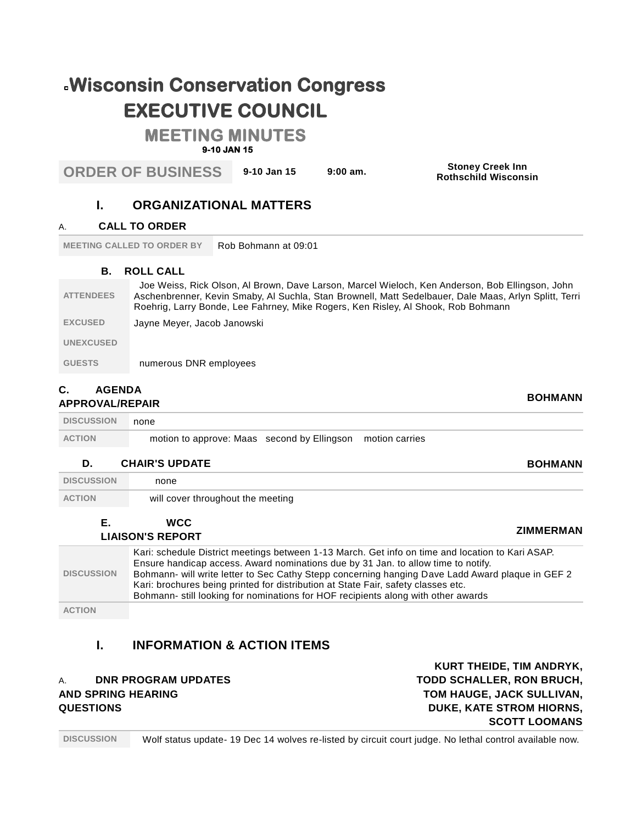# **Wisconsin Conservation Congress EXECUTIVE COUNCIL**

## **MEETING MINUTES**

### **9-10 JAN 15**

**ORDER OF BUSINESS 9-10 Jan 15 9:00 am. Stoney Creek Inn**

**Rothschild Wisconsin**

## **I. ORGANIZATIONAL MATTERS**

#### A. **CALL TO ORDER**

**MEETING CALLED TO ORDER BY Rob Bohmann at 09:01** 

#### **B. ROLL CALL**

| <b>ATTENDEES</b> | Joe Weiss, Rick Olson, Al Brown, Dave Larson, Marcel Wieloch, Ken Anderson, Bob Ellingson, John<br>Aschenbrenner, Kevin Smaby, Al Suchla, Stan Brownell, Matt Sedelbauer, Dale Maas, Arlyn Splitt, Terri<br>Roehrig, Larry Bonde, Lee Fahrney, Mike Rogers, Ken Risley, Al Shook, Rob Bohmann |
|------------------|-----------------------------------------------------------------------------------------------------------------------------------------------------------------------------------------------------------------------------------------------------------------------------------------------|
| <b>EXCUSED</b>   | Jayne Meyer, Jacob Janowski                                                                                                                                                                                                                                                                   |
| <b>UNEXCUSED</b> |                                                                                                                                                                                                                                                                                               |
| <b>GUESTS</b>    | numerous DNR employees                                                                                                                                                                                                                                                                        |
|                  |                                                                                                                                                                                                                                                                                               |

#### **C. AGENDA APPROVAL/REPAIR BOHMANN**

| <b>DISCUSSION</b> | none                                                       |  |
|-------------------|------------------------------------------------------------|--|
| <b>ACTION</b>     | motion to approve: Maas second by Ellingson motion carries |  |

#### **D. CHAIR'S UPDATE BOHMANN**

| <b>DISCUSSION</b> | none                                                                                                                                                                                                                                                        |                                                                                                                                                                                                      |
|-------------------|-------------------------------------------------------------------------------------------------------------------------------------------------------------------------------------------------------------------------------------------------------------|------------------------------------------------------------------------------------------------------------------------------------------------------------------------------------------------------|
| <b>ACTION</b>     | will cover throughout the meeting                                                                                                                                                                                                                           |                                                                                                                                                                                                      |
| Е.                | <b>WCC</b><br><b>LIAISON'S REPORT</b>                                                                                                                                                                                                                       | ZIMMERMAN                                                                                                                                                                                            |
| <b>DISCUSSION</b> | Ensure handicap access. Award nominations due by 31 Jan. to allow time to notify.<br>Kari: brochures being printed for distribution at State Fair, safety classes etc.<br>Bohmann- still looking for nominations for HOF recipients along with other awards | Kari: schedule District meetings between 1-13 March. Get info on time and location to Kari ASAP.<br>Bohmann- will write letter to Sec Cathy Stepp concerning hanging Dave Ladd Award plaque in GEF 2 |
| <b>ACTION</b>     |                                                                                                                                                                                                                                                             |                                                                                                                                                                                                      |

## **I. INFORMATION & ACTION ITEMS**

#### A. **DNR PROGRAM UPDATES AND SPRING HEARING QUESTIONS**

**KURT THEIDE, TIM ANDRYK, TODD SCHALLER, RON BRUCH, TOM HAUGE, JACK SULLIVAN, DUKE, KATE STROM HIORNS, SCOTT LOOMANS**

#### **DISCUSSION** Wolf status update- 19 Dec 14 wolves re-listed by circuit court judge. No lethal control available now.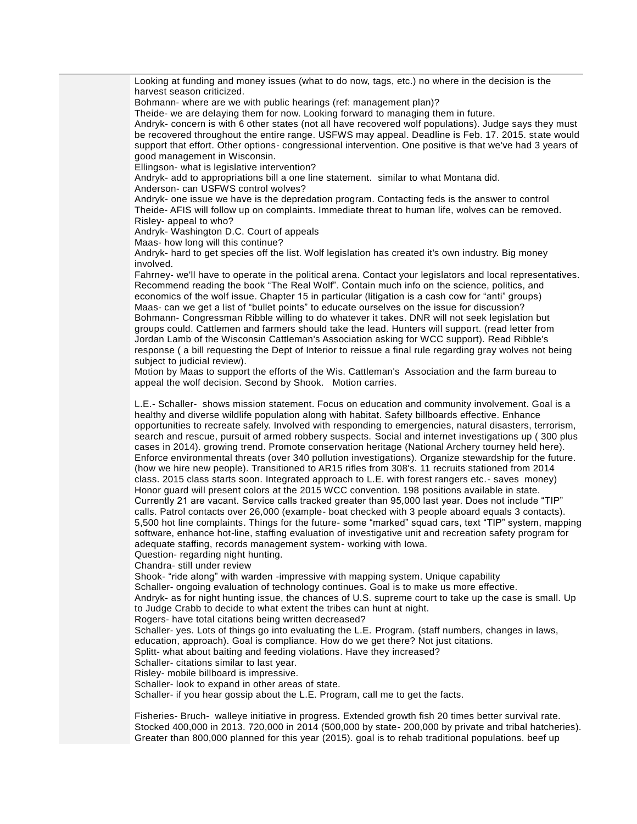Looking at funding and money issues (what to do now, tags, etc.) no where in the decision is the harvest season criticized.

Bohmann- where are we with public hearings (ref: management plan)?

Theide- we are delaying them for now. Looking forward to managing them in future.

Andryk- concern is with 6 other states (not all have recovered wolf populations). Judge says they must be recovered throughout the entire range. USFWS may appeal. Deadline is Feb. 17. 2015. state would support that effort. Other options- congressional intervention. One positive is that we've had 3 years of good management in Wisconsin.

Ellingson- what is legislative intervention?

Andryk- add to appropriations bill a one line statement. similar to what Montana did.

Anderson- can USFWS control wolves?

Andryk- one issue we have is the depredation program. Contacting feds is the answer to control Theide- AFIS will follow up on complaints. Immediate threat to human life, wolves can be removed. Risley- appeal to who?

Andryk- Washington D.C. Court of appeals

Maas- how long will this continue?

Andryk- hard to get species off the list. Wolf legislation has created it's own industry. Big money involved.

Fahrney- we'll have to operate in the political arena. Contact your legislators and local representatives. Recommend reading the book "The Real Wolf". Contain much info on the science, politics, and economics of the wolf issue. Chapter 15 in particular (litigation is a cash cow for "anti" groups) Maas- can we get a list of "bullet points" to educate ourselves on the issue for discussion? Bohmann- Congressman Ribble willing to do whatever it takes. DNR will not seek legislation but groups could. Cattlemen and farmers should take the lead. Hunters will support. (read letter from Jordan Lamb of the Wisconsin Cattleman's Association asking for WCC support). Read Ribble's response ( a bill requesting the Dept of Interior to reissue a final rule regarding gray wolves not being subject to judicial review).

Motion by Maas to support the efforts of the Wis. Cattleman's Association and the farm bureau to appeal the wolf decision. Second by Shook. Motion carries.

L.E.- Schaller- shows mission statement. Focus on education and community involvement. Goal is a healthy and diverse wildlife population along with habitat. Safety billboards effective. Enhance opportunities to recreate safely. Involved with responding to emergencies, natural disasters, terrorism, search and rescue, pursuit of armed robbery suspects. Social and internet investigations up ( 300 plus cases in 2014). growing trend. Promote conservation heritage (National Archery tourney held here). Enforce environmental threats (over 340 pollution investigations). Organize stewardship for the future. (how we hire new people). Transitioned to AR15 rifles from 308's. 11 recruits stationed from 2014 class. 2015 class starts soon. Integrated approach to L.E. with forest rangers etc.- saves money) Honor guard will present colors at the 2015 WCC convention. 198 positions available in state. Currently 21 are vacant. Service calls tracked greater than 95,000 last year. Does not include "TIP" calls. Patrol contacts over 26,000 (example- boat checked with 3 people aboard equals 3 contacts). 5,500 hot line complaints. Things for the future- some "marked" squad cars, text "TIP" system, mapping software, enhance hot-line, staffing evaluation of investigative unit and recreation safety program for adequate staffing, records management system- working with Iowa.

Question- regarding night hunting.

Chandra- still under review

Shook- "ride along" with warden -impressive with mapping system. Unique capability Schaller- ongoing evaluation of technology continues. Goal is to make us more effective. Andryk- as for night hunting issue, the chances of U.S. supreme court to take up the case is small. Up to Judge Crabb to decide to what extent the tribes can hunt at night.

Rogers- have total citations being written decreased?

Schaller- yes. Lots of things go into evaluating the L.E. Program. (staff numbers, changes in laws, education, approach). Goal is compliance. How do we get there? Not just citations.

Splitt- what about baiting and feeding violations. Have they increased?

Schaller- citations similar to last year.

Risley- mobile billboard is impressive.

Schaller- look to expand in other areas of state.

Schaller- if you hear gossip about the L.E. Program, call me to get the facts.

Fisheries- Bruch- walleye initiative in progress. Extended growth fish 20 times better survival rate. Stocked 400,000 in 2013. 720,000 in 2014 (500,000 by state- 200,000 by private and tribal hatcheries). Greater than 800,000 planned for this year (2015). goal is to rehab traditional populations. beef up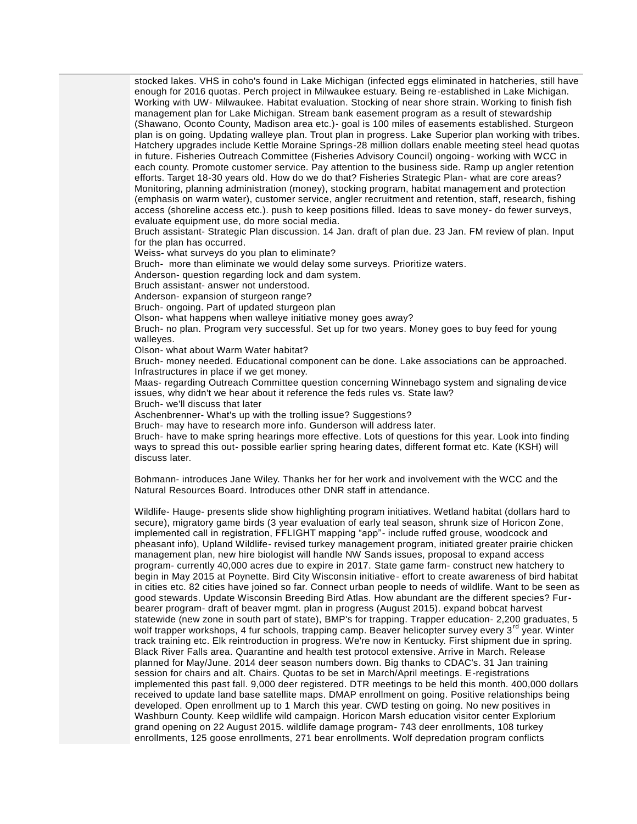stocked lakes. VHS in coho's found in Lake Michigan (infected eggs eliminated in hatcheries, still have enough for 2016 quotas. Perch project in Milwaukee estuary. Being re-established in Lake Michigan. Working with UW- Milwaukee. Habitat evaluation. Stocking of near shore strain. Working to finish fish management plan for Lake Michigan. Stream bank easement program as a result of stewardship (Shawano, Oconto County, Madison area etc.)- goal is 100 miles of easements established. Sturgeon plan is on going. Updating walleye plan. Trout plan in progress. Lake Superior plan working with tribes. Hatchery upgrades include Kettle Moraine Springs-28 million dollars enable meeting steel head quotas in future. Fisheries Outreach Committee (Fisheries Advisory Council) ongoing- working with WCC in each county. Promote customer service. Pay attention to the business side. Ramp up angler retention efforts. Target 18-30 years old. How do we do that? Fisheries Strategic Plan- what are core areas? Monitoring, planning administration (money), stocking program, habitat management and protection (emphasis on warm water), customer service, angler recruitment and retention, staff, research, fishing access (shoreline access etc.). push to keep positions filled. Ideas to save money- do fewer surveys, evaluate equipment use, do more social media.

Bruch assistant- Strategic Plan discussion. 14 Jan. draft of plan due. 23 Jan. FM review of plan. Input for the plan has occurred.

Weiss- what surveys do you plan to eliminate?

Bruch- more than eliminate we would delay some surveys. Prioritize waters.

Anderson- question regarding lock and dam system.

Bruch assistant- answer not understood.

Anderson- expansion of sturgeon range?

Bruch- ongoing. Part of updated sturgeon plan

Olson- what happens when walleye initiative money goes away?

Bruch- no plan. Program very successful. Set up for two years. Money goes to buy feed for young walleyes.

Olson- what about Warm Water habitat?

Bruch- money needed. Educational component can be done. Lake associations can be approached. Infrastructures in place if we get money.

Maas- regarding Outreach Committee question concerning Winnebago system and signaling device issues, why didn't we hear about it reference the feds rules vs. State law?

Bruch- we'll discuss that later

Aschenbrenner- What's up with the trolling issue? Suggestions?

Bruch- may have to research more info. Gunderson will address later.

Bruch- have to make spring hearings more effective. Lots of questions for this year. Look into finding ways to spread this out- possible earlier spring hearing dates, different format etc. Kate (KSH) will discuss later.

Bohmann- introduces Jane Wiley. Thanks her for her work and involvement with the WCC and the Natural Resources Board. Introduces other DNR staff in attendance.

Wildlife- Hauge- presents slide show highlighting program initiatives. Wetland habitat (dollars hard to secure), migratory game birds (3 year evaluation of early teal season, shrunk size of Horicon Zone, implemented call in registration, FFLIGHT mapping "app"- include ruffed grouse, woodcock and pheasant info), Upland Wildlife- revised turkey management program, initiated greater prairie chicken management plan, new hire biologist will handle NW Sands issues, proposal to expand access program- currently 40,000 acres due to expire in 2017. State game farm- construct new hatchery to begin in May 2015 at Poynette. Bird City Wisconsin initiative- effort to create awareness of bird habitat in cities etc. 82 cities have joined so far. Connect urban people to needs of wildlife. Want to be seen as good stewards. Update Wisconsin Breeding Bird Atlas. How abundant are the different species? Furbearer program- draft of beaver mgmt. plan in progress (August 2015). expand bobcat harvest statewide (new zone in south part of state), BMP's for trapping. Trapper education- 2,200 graduates, 5 wolf trapper workshops, 4 fur schools, trapping camp. Beaver helicopter survey every 3<sup>rd</sup> year. Winter track training etc. Elk reintroduction in progress. We're now in Kentucky. First shipment due in spring. Black River Falls area. Quarantine and health test protocol extensive. Arrive in March. Release planned for May/June. 2014 deer season numbers down. Big thanks to CDAC's. 31 Jan training session for chairs and alt. Chairs. Quotas to be set in March/April meetings. E-registrations implemented this past fall. 9,000 deer registered. DTR meetings to be held this month. 400,000 dollars received to update land base satellite maps. DMAP enrollment on going. Positive relationships being developed. Open enrollment up to 1 March this year. CWD testing on going. No new positives in Washburn County. Keep wildlife wild campaign. Horicon Marsh education visitor center Explorium grand opening on 22 August 2015. wildlife damage program- 743 deer enrollments, 108 turkey enrollments, 125 goose enrollments, 271 bear enrollments. Wolf depredation program conflicts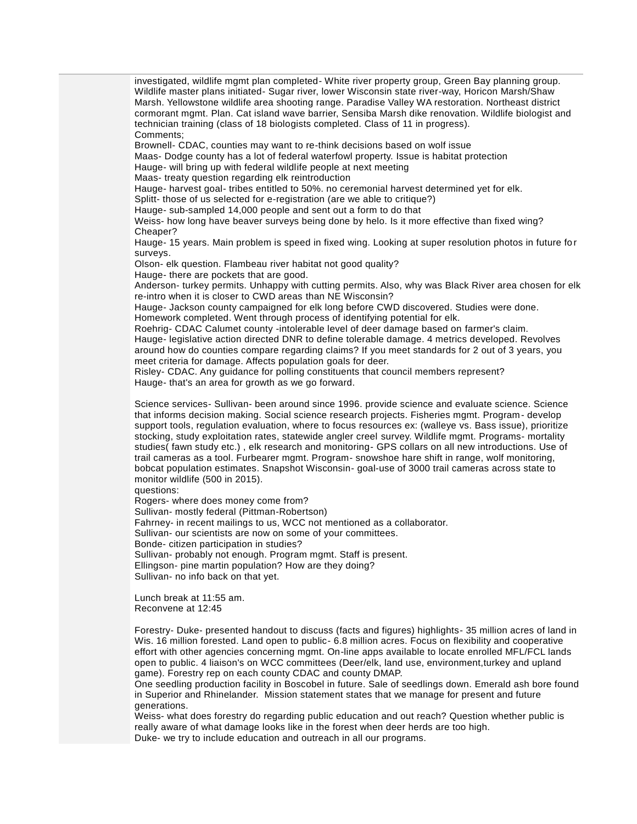investigated, wildlife mgmt plan completed- White river property group, Green Bay planning group. Wildlife master plans initiated- Sugar river, lower Wisconsin state river-way, Horicon Marsh/Shaw Marsh. Yellowstone wildlife area shooting range. Paradise Valley WA restoration. Northeast district cormorant mgmt. Plan. Cat island wave barrier, Sensiba Marsh dike renovation. Wildlife biologist and technician training (class of 18 biologists completed. Class of 11 in progress). Comments;

Brownell- CDAC, counties may want to re-think decisions based on wolf issue Maas- Dodge county has a lot of federal waterfowl property. Issue is habitat protection Hauge- will bring up with federal wildlife people at next meeting

Maas- treaty question regarding elk reintroduction

Hauge- harvest goal- tribes entitled to 50%. no ceremonial harvest determined yet for elk.

Splitt- those of us selected for e-registration (are we able to critique?)

Hauge- sub-sampled 14,000 people and sent out a form to do that

Weiss- how long have beaver surveys being done by helo. Is it more effective than fixed wing? Cheaper?

Hauge- 15 years. Main problem is speed in fixed wing. Looking at super resolution photos in future for surveys.

Olson- elk question. Flambeau river habitat not good quality?

Hauge- there are pockets that are good.

Anderson- turkey permits. Unhappy with cutting permits. Also, why was Black River area chosen for elk re-intro when it is closer to CWD areas than NE Wisconsin?

Hauge- Jackson county campaigned for elk long before CWD discovered. Studies were done. Homework completed. Went through process of identifying potential for elk.

Roehrig- CDAC Calumet county -intolerable level of deer damage based on farmer's claim. Hauge- legislative action directed DNR to define tolerable damage. 4 metrics developed. Revolves around how do counties compare regarding claims? If you meet standards for 2 out of 3 years, you meet criteria for damage. Affects population goals for deer.

Risley- CDAC. Any guidance for polling constituents that council members represent? Hauge- that's an area for growth as we go forward.

Science services- Sullivan- been around since 1996. provide science and evaluate science. Science that informs decision making. Social science research projects. Fisheries mgmt. Program- develop support tools, regulation evaluation, where to focus resources ex: (walleye vs. Bass issue), prioritize stocking, study exploitation rates, statewide angler creel survey. Wildlife mgmt. Programs- mortality studies( fawn study etc.) , elk research and monitoring- GPS collars on all new introductions. Use of trail cameras as a tool. Furbearer mgmt. Program- snowshoe hare shift in range, wolf monitoring, bobcat population estimates. Snapshot Wisconsin- goal-use of 3000 trail cameras across state to monitor wildlife (500 in 2015).

questions:

Rogers- where does money come from? Sullivan- mostly federal (Pittman-Robertson) Fahrney- in recent mailings to us, WCC not mentioned as a collaborator. Sullivan- our scientists are now on some of your committees. Bonde- citizen participation in studies? Sullivan- probably not enough. Program mgmt. Staff is present. Ellingson- pine martin population? How are they doing? Sullivan- no info back on that yet.

Lunch break at 11:55 am. Reconvene at 12:45

Forestry- Duke- presented handout to discuss (facts and figures) highlights- 35 million acres of land in Wis. 16 million forested. Land open to public- 6.8 million acres. Focus on flexibility and cooperative effort with other agencies concerning mgmt. On-line apps available to locate enrolled MFL/FCL lands open to public. 4 liaison's on WCC committees (Deer/elk, land use, environment,turkey and upland game). Forestry rep on each county CDAC and county DMAP.

One seedling production facility in Boscobel in future. Sale of seedlings down. Emerald ash bore found in Superior and Rhinelander. Mission statement states that we manage for present and future generations.

Weiss- what does forestry do regarding public education and out reach? Question whether public is really aware of what damage looks like in the forest when deer herds are too high. Duke- we try to include education and outreach in all our programs.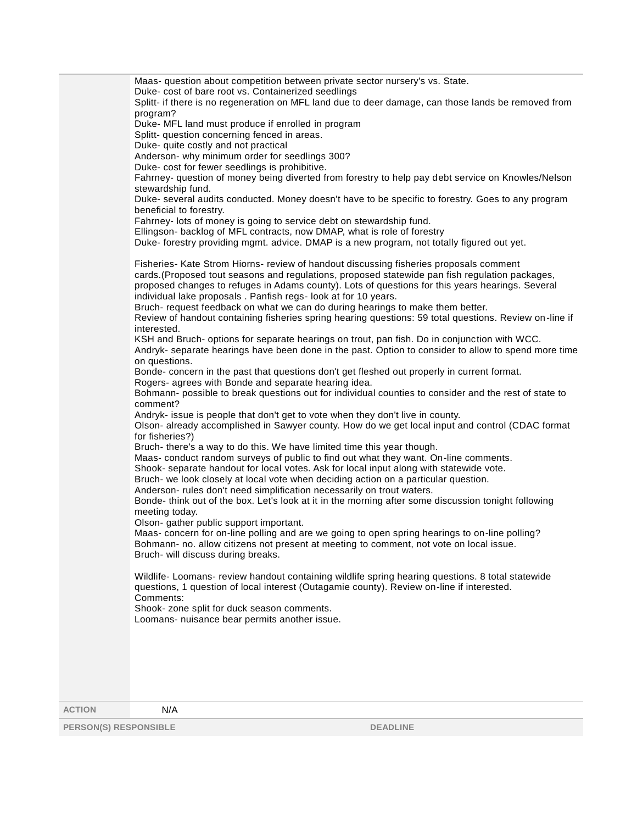Maas- question about competition between private sector nursery's vs. State. Duke- cost of bare root vs. Containerized seedlings Splitt- if there is no regeneration on MFL land due to deer damage, can those lands be removed from program? Duke- MFL land must produce if enrolled in program Splitt- question concerning fenced in areas. Duke- quite costly and not practical Anderson- why minimum order for seedlings 300? Duke- cost for fewer seedlings is prohibitive. Fahrney- question of money being diverted from forestry to help pay debt service on Knowles/Nelson stewardship fund. Duke- several audits conducted. Money doesn't have to be specific to forestry. Goes to any program beneficial to forestry. Fahrney- lots of money is going to service debt on stewardship fund. Ellingson- backlog of MFL contracts, now DMAP, what is role of forestry Duke- forestry providing mgmt. advice. DMAP is a new program, not totally figured out yet. Fisheries- Kate Strom Hiorns- review of handout discussing fisheries proposals comment cards.(Proposed tout seasons and regulations, proposed statewide pan fish regulation packages, proposed changes to refuges in Adams county). Lots of questions for this years hearings. Several individual lake proposals . Panfish regs- look at for 10 years. Bruch- request feedback on what we can do during hearings to make them better. Review of handout containing fisheries spring hearing questions: 59 total questions. Review on -line if interested. KSH and Bruch- options for separate hearings on trout, pan fish. Do in conjunction with WCC. Andryk- separate hearings have been done in the past. Option to consider to allow to spend more time on questions. Bonde- concern in the past that questions don't get fleshed out properly in current format. Rogers- agrees with Bonde and separate hearing idea. Bohmann- possible to break questions out for individual counties to consider and the rest of state to comment? Andryk- issue is people that don't get to vote when they don't live in county. Olson- already accomplished in Sawyer county. How do we get local input and control (CDAC format for fisheries?) Bruch- there's a way to do this. We have limited time this year though. Maas- conduct random surveys of public to find out what they want. On-line comments. Shook- separate handout for local votes. Ask for local input along with statewide vote. Bruch- we look closely at local vote when deciding action on a particular question. Anderson- rules don't need simplification necessarily on trout waters. Bonde- think out of the box. Let's look at it in the morning after some discussion tonight following meeting today. Olson- gather public support important. Maas- concern for on-line polling and are we going to open spring hearings to on-line polling? Bohmann- no. allow citizens not present at meeting to comment, not vote on local issue. Bruch- will discuss during breaks. Wildlife- Loomans- review handout containing wildlife spring hearing questions. 8 total statewide questions, 1 question of local interest (Outagamie county). Review on-line if interested. Comments: Shook- zone split for duck season comments. Loomans- nuisance bear permits another issue. **ACTION** N/A

**PERSON(S) RESPONSIBLE DEADLINE**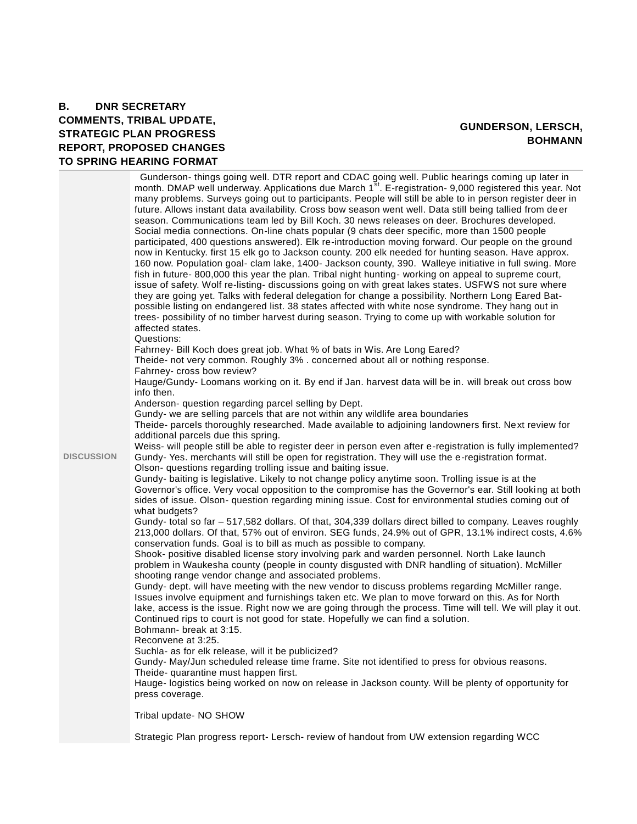#### **B. DNR SECRETARY COMMENTS, TRIBAL UPDATE, STRATEGIC PLAN PROGRESS REPORT, PROPOSED CHANGES TO SPRING HEARING FORMAT**

#### **GUNDERSON, LERSCH, BOHMANN**

|                   | Gunderson-things going well. DTR report and CDAC going well. Public hearings coming up later in<br>month. DMAP well underway. Applications due March 1 <sup>st</sup> . E-registration- 9,000 registered this year. Not<br>many problems. Surveys going out to participants. People will still be able to in person register deer in<br>future. Allows instant data availability. Cross bow season went well. Data still being tallied from deer<br>season. Communications team led by Bill Koch. 30 news releases on deer. Brochures developed.<br>Social media connections. On-line chats popular (9 chats deer specific, more than 1500 people<br>participated, 400 questions answered). Elk re-introduction moving forward. Our people on the ground<br>now in Kentucky. first 15 elk go to Jackson county. 200 elk needed for hunting season. Have approx.<br>160 now. Population goal- clam lake, 1400- Jackson county, 390. Walleye initiative in full swing. More<br>fish in future-800,000 this year the plan. Tribal night hunting- working on appeal to supreme court,<br>issue of safety. Wolf re-listing- discussions going on with great lakes states. USFWS not sure where<br>they are going yet. Talks with federal delegation for change a possibility. Northern Long Eared Bat-<br>possible listing on endangered list. 38 states affected with white nose syndrome. They hang out in<br>trees- possibility of no timber harvest during season. Trying to come up with workable solution for<br>affected states.<br>Questions:<br>Fahrney- Bill Koch does great job. What % of bats in Wis. Are Long Eared?<br>Theide- not very common. Roughly 3% . concerned about all or nothing response.<br>Fahrney- cross bow review?<br>Hauge/Gundy- Loomans working on it. By end if Jan. harvest data will be in. will break out cross bow<br>info then.<br>Anderson- question regarding parcel selling by Dept.<br>Gundy- we are selling parcels that are not within any wildlife area boundaries<br>Theide- parcels thoroughly researched. Made available to adjoining landowners first. Next review for<br>additional parcels due this spring.<br>Weiss- will people still be able to register deer in person even after e-registration is fully implemented? |
|-------------------|----------------------------------------------------------------------------------------------------------------------------------------------------------------------------------------------------------------------------------------------------------------------------------------------------------------------------------------------------------------------------------------------------------------------------------------------------------------------------------------------------------------------------------------------------------------------------------------------------------------------------------------------------------------------------------------------------------------------------------------------------------------------------------------------------------------------------------------------------------------------------------------------------------------------------------------------------------------------------------------------------------------------------------------------------------------------------------------------------------------------------------------------------------------------------------------------------------------------------------------------------------------------------------------------------------------------------------------------------------------------------------------------------------------------------------------------------------------------------------------------------------------------------------------------------------------------------------------------------------------------------------------------------------------------------------------------------------------------------------------------------------------------------------------------------------------------------------------------------------------------------------------------------------------------------------------------------------------------------------------------------------------------------------------------------------------------------------------------------------------------------------------------------------------------------------------------------------------------------------------------------------------------------|
| <b>DISCUSSION</b> | Gundy-Yes. merchants will still be open for registration. They will use the e-registration format.<br>Olson- questions regarding trolling issue and baiting issue.                                                                                                                                                                                                                                                                                                                                                                                                                                                                                                                                                                                                                                                                                                                                                                                                                                                                                                                                                                                                                                                                                                                                                                                                                                                                                                                                                                                                                                                                                                                                                                                                                                                                                                                                                                                                                                                                                                                                                                                                                                                                                                         |
|                   | Gundy- baiting is legislative. Likely to not change policy anytime soon. Trolling issue is at the<br>Governor's office. Very vocal opposition to the compromise has the Governor's ear. Still looking at both<br>sides of issue. Olson- question regarding mining issue. Cost for environmental studies coming out of                                                                                                                                                                                                                                                                                                                                                                                                                                                                                                                                                                                                                                                                                                                                                                                                                                                                                                                                                                                                                                                                                                                                                                                                                                                                                                                                                                                                                                                                                                                                                                                                                                                                                                                                                                                                                                                                                                                                                      |
|                   | what budgets?<br>Gundy- total so far - 517,582 dollars. Of that, 304,339 dollars direct billed to company. Leaves roughly<br>213,000 dollars. Of that, 57% out of environ. SEG funds, 24.9% out of GPR, 13.1% indirect costs, 4.6%<br>conservation funds. Goal is to bill as much as possible to company.                                                                                                                                                                                                                                                                                                                                                                                                                                                                                                                                                                                                                                                                                                                                                                                                                                                                                                                                                                                                                                                                                                                                                                                                                                                                                                                                                                                                                                                                                                                                                                                                                                                                                                                                                                                                                                                                                                                                                                  |
|                   | Shook- positive disabled license story involving park and warden personnel. North Lake launch<br>problem in Waukesha county (people in county disgusted with DNR handling of situation). McMiller<br>shooting range vendor change and associated problems.                                                                                                                                                                                                                                                                                                                                                                                                                                                                                                                                                                                                                                                                                                                                                                                                                                                                                                                                                                                                                                                                                                                                                                                                                                                                                                                                                                                                                                                                                                                                                                                                                                                                                                                                                                                                                                                                                                                                                                                                                 |
|                   | Gundy- dept. will have meeting with the new vendor to discuss problems regarding McMiller range.<br>Issues involve equipment and furnishings taken etc. We plan to move forward on this. As for North<br>lake, access is the issue. Right now we are going through the process. Time will tell. We will play it out.<br>Continued rips to court is not good for state. Hopefully we can find a solution.<br>Bohmann- break at 3:15.                                                                                                                                                                                                                                                                                                                                                                                                                                                                                                                                                                                                                                                                                                                                                                                                                                                                                                                                                                                                                                                                                                                                                                                                                                                                                                                                                                                                                                                                                                                                                                                                                                                                                                                                                                                                                                        |
|                   | Reconvene at 3:25.<br>Suchla- as for elk release, will it be publicized?                                                                                                                                                                                                                                                                                                                                                                                                                                                                                                                                                                                                                                                                                                                                                                                                                                                                                                                                                                                                                                                                                                                                                                                                                                                                                                                                                                                                                                                                                                                                                                                                                                                                                                                                                                                                                                                                                                                                                                                                                                                                                                                                                                                                   |
|                   | Gundy- May/Jun scheduled release time frame. Site not identified to press for obvious reasons.<br>Theide- quarantine must happen first.<br>Hauge- logistics being worked on now on release in Jackson county. Will be plenty of opportunity for                                                                                                                                                                                                                                                                                                                                                                                                                                                                                                                                                                                                                                                                                                                                                                                                                                                                                                                                                                                                                                                                                                                                                                                                                                                                                                                                                                                                                                                                                                                                                                                                                                                                                                                                                                                                                                                                                                                                                                                                                            |
|                   | press coverage.                                                                                                                                                                                                                                                                                                                                                                                                                                                                                                                                                                                                                                                                                                                                                                                                                                                                                                                                                                                                                                                                                                                                                                                                                                                                                                                                                                                                                                                                                                                                                                                                                                                                                                                                                                                                                                                                                                                                                                                                                                                                                                                                                                                                                                                            |
|                   | Tribal update- NO SHOW                                                                                                                                                                                                                                                                                                                                                                                                                                                                                                                                                                                                                                                                                                                                                                                                                                                                                                                                                                                                                                                                                                                                                                                                                                                                                                                                                                                                                                                                                                                                                                                                                                                                                                                                                                                                                                                                                                                                                                                                                                                                                                                                                                                                                                                     |

Strategic Plan progress report- Lersch- review of handout from UW extension regarding WCC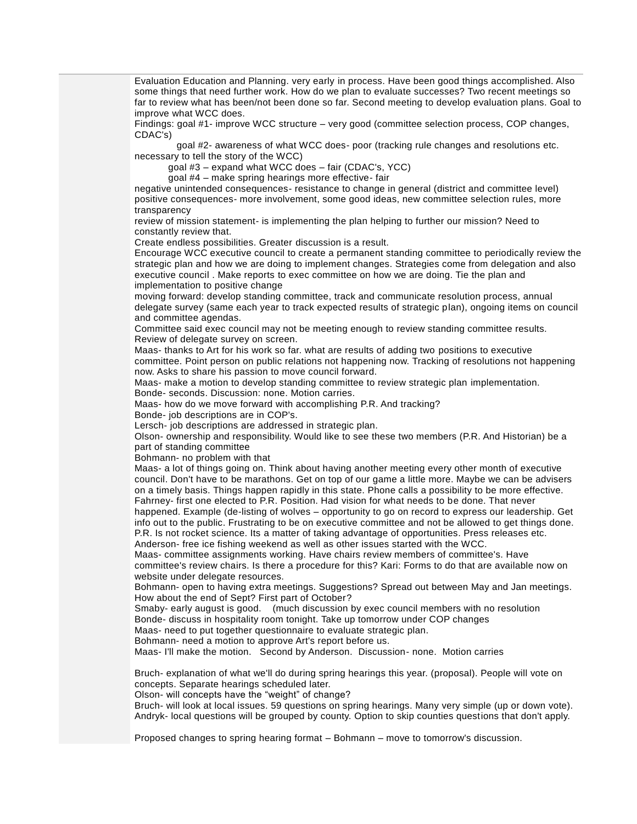Evaluation Education and Planning. very early in process. Have been good things accomplished. Also some things that need further work. How do we plan to evaluate successes? Two recent meetings so far to review what has been/not been done so far. Second meeting to develop evaluation plans. Goal to improve what WCC does.

Findings: goal #1- improve WCC structure – very good (committee selection process, COP changes, CDAC's)

 goal #2- awareness of what WCC does- poor (tracking rule changes and resolutions etc. necessary to tell the story of the WCC)

goal #3 – expand what WCC does – fair (CDAC's, YCC)

goal #4 – make spring hearings more effective- fair

negative unintended consequences- resistance to change in general (district and committee level) positive consequences- more involvement, some good ideas, new committee selection rules, more transparency

review of mission statement- is implementing the plan helping to further our mission? Need to constantly review that.

Create endless possibilities. Greater discussion is a result.

Encourage WCC executive council to create a permanent standing committee to periodically review the strategic plan and how we are doing to implement changes. Strategies come from delegation and also executive council . Make reports to exec committee on how we are doing. Tie the plan and implementation to positive change

moving forward: develop standing committee, track and communicate resolution process, annual delegate survey (same each year to track expected results of strategic plan), ongoing items on council and committee agendas.

Committee said exec council may not be meeting enough to review standing committee results. Review of delegate survey on screen.

Maas- thanks to Art for his work so far. what are results of adding two positions to executive committee. Point person on public relations not happening now. Tracking of resolutions not happening now. Asks to share his passion to move council forward.

Maas- make a motion to develop standing committee to review strategic plan implementation.

Bonde- seconds. Discussion: none. Motion carries.

Maas- how do we move forward with accomplishing P.R. And tracking?

Bonde- job descriptions are in COP's.

Lersch- job descriptions are addressed in strategic plan.

Olson- ownership and responsibility. Would like to see these two members (P.R. And Historian) be a part of standing committee

Bohmann- no problem with that

Maas- a lot of things going on. Think about having another meeting every other month of executive council. Don't have to be marathons. Get on top of our game a little more. Maybe we can be advisers on a timely basis. Things happen rapidly in this state. Phone calls a possibility to be more effective. Fahrney- first one elected to P.R. Position. Had vision for what needs to be done. That never happened. Example (de-listing of wolves – opportunity to go on record to express our leadership. Get

info out to the public. Frustrating to be on executive committee and not be allowed to get things done. P.R. Is not rocket science. Its a matter of taking advantage of opportunities. Press releases etc. Anderson- free ice fishing weekend as well as other issues started with the WCC.

Maas- committee assignments working. Have chairs review members of committee's. Have committee's review chairs. Is there a procedure for this? Kari: Forms to do that are available now on website under delegate resources.

Bohmann- open to having extra meetings. Suggestions? Spread out between May and Jan meetings. How about the end of Sept? First part of October?

Smaby- early august is good. (much discussion by exec council members with no resolution Bonde- discuss in hospitality room tonight. Take up tomorrow under COP changes

Maas- need to put together questionnaire to evaluate strategic plan.

Bohmann- need a motion to approve Art's report before us.

Maas- I'll make the motion. Second by Anderson. Discussion- none. Motion carries

Bruch- explanation of what we'll do during spring hearings this year. (proposal). People will vote on concepts. Separate hearings scheduled later.

Olson- will concepts have the "weight" of change?

Bruch- will look at local issues. 59 questions on spring hearings. Many very simple (up or down vote). Andryk- local questions will be grouped by county. Option to skip counties questions that don't apply.

Proposed changes to spring hearing format – Bohmann – move to tomorrow's discussion.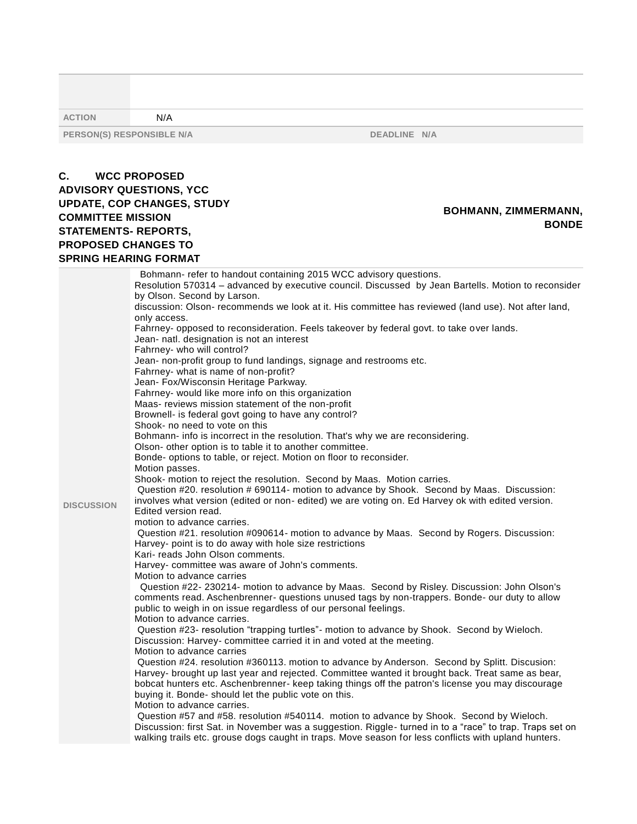| <b>ACTION</b>                                                                               | N/A                                                                                                                                                                                                                                                                                                                                                                                                                                                                                                                                                                                                                                                                                                                                                                                                                                                                                |                                                                                                                                                                                                                                                                                                                                                                                                                                                                                                                                                                                                                                                                                                                                                                                                                                                                                                                                                                                                                                                                                                                                                                                                                                                                                                                                                                                                                                                                                                                                                                                                                                                                                                                                                                                                                                                                                                                                                                                                                                                              |
|---------------------------------------------------------------------------------------------|------------------------------------------------------------------------------------------------------------------------------------------------------------------------------------------------------------------------------------------------------------------------------------------------------------------------------------------------------------------------------------------------------------------------------------------------------------------------------------------------------------------------------------------------------------------------------------------------------------------------------------------------------------------------------------------------------------------------------------------------------------------------------------------------------------------------------------------------------------------------------------|--------------------------------------------------------------------------------------------------------------------------------------------------------------------------------------------------------------------------------------------------------------------------------------------------------------------------------------------------------------------------------------------------------------------------------------------------------------------------------------------------------------------------------------------------------------------------------------------------------------------------------------------------------------------------------------------------------------------------------------------------------------------------------------------------------------------------------------------------------------------------------------------------------------------------------------------------------------------------------------------------------------------------------------------------------------------------------------------------------------------------------------------------------------------------------------------------------------------------------------------------------------------------------------------------------------------------------------------------------------------------------------------------------------------------------------------------------------------------------------------------------------------------------------------------------------------------------------------------------------------------------------------------------------------------------------------------------------------------------------------------------------------------------------------------------------------------------------------------------------------------------------------------------------------------------------------------------------------------------------------------------------------------------------------------------------|
|                                                                                             | PERSON(S) RESPONSIBLE N/A                                                                                                                                                                                                                                                                                                                                                                                                                                                                                                                                                                                                                                                                                                                                                                                                                                                          | DEADLINE N/A                                                                                                                                                                                                                                                                                                                                                                                                                                                                                                                                                                                                                                                                                                                                                                                                                                                                                                                                                                                                                                                                                                                                                                                                                                                                                                                                                                                                                                                                                                                                                                                                                                                                                                                                                                                                                                                                                                                                                                                                                                                 |
| C.<br><b>COMMITTEE MISSION</b><br><b>STATEMENTS- REPORTS,</b><br><b>PROPOSED CHANGES TO</b> | <b>WCC PROPOSED</b><br><b>ADVISORY QUESTIONS, YCC</b><br><b>UPDATE, COP CHANGES, STUDY</b><br><b>SPRING HEARING FORMAT</b>                                                                                                                                                                                                                                                                                                                                                                                                                                                                                                                                                                                                                                                                                                                                                         | <b>BOHMANN, ZIMMERMANN,</b><br><b>BONDE</b>                                                                                                                                                                                                                                                                                                                                                                                                                                                                                                                                                                                                                                                                                                                                                                                                                                                                                                                                                                                                                                                                                                                                                                                                                                                                                                                                                                                                                                                                                                                                                                                                                                                                                                                                                                                                                                                                                                                                                                                                                  |
| <b>DISCUSSION</b>                                                                           | by Olson. Second by Larson.<br>only access.<br>Jean- natl. designation is not an interest<br>Fahrney- who will control?<br>Fahrney- what is name of non-profit?<br>Jean- Fox/Wisconsin Heritage Parkway.<br>Fahrney- would like more info on this organization<br>Maas- reviews mission statement of the non-profit<br>Brownell- is federal govt going to have any control?<br>Shook- no need to vote on this<br>Olson- other option is to table it to another committee.<br>Motion passes.<br>Edited version read.<br>motion to advance carries.<br>Harvey- point is to do away with hole size restrictions<br>Kari- reads John Olson comments.<br>Harvey- committee was aware of John's comments.<br>Motion to advance carries<br>Motion to advance carries.<br>Motion to advance carries<br>buying it. Bonde- should let the public vote on this.<br>Motion to advance carries. | Bohmann- refer to handout containing 2015 WCC advisory questions.<br>Resolution 570314 - advanced by executive council. Discussed by Jean Bartells. Motion to reconsider<br>discussion: Olson- recommends we look at it. His committee has reviewed (land use). Not after land,<br>Fahrney- opposed to reconsideration. Feels takeover by federal govt. to take over lands.<br>Jean- non-profit group to fund landings, signage and restrooms etc.<br>Bohmann- info is incorrect in the resolution. That's why we are reconsidering.<br>Bonde- options to table, or reject. Motion on floor to reconsider.<br>Shook- motion to reject the resolution. Second by Maas. Motion carries.<br>Question #20. resolution # 690114- motion to advance by Shook. Second by Maas. Discussion:<br>involves what version (edited or non- edited) we are voting on. Ed Harvey ok with edited version.<br>Question #21. resolution #090614- motion to advance by Maas. Second by Rogers. Discussion:<br>Question #22- 230214- motion to advance by Maas. Second by Risley. Discussion: John Olson's<br>comments read. Aschenbrenner- questions unused tags by non-trappers. Bonde- our duty to allow<br>public to weigh in on issue regardless of our personal feelings.<br>Question #23- resolution "trapping turtles"- motion to advance by Shook. Second by Wieloch.<br>Discussion: Harvey- committee carried it in and voted at the meeting.<br>Question #24. resolution #360113. motion to advance by Anderson. Second by Splitt. Discusion:<br>Harvey- brought up last year and rejected. Committee wanted it brought back. Treat same as bear,<br>bobcat hunters etc. Aschenbrenner- keep taking things off the patron's license you may discourage<br>Question #57 and #58. resolution #540114. motion to advance by Shook. Second by Wieloch.<br>Discussion: first Sat. in November was a suggestion. Riggle- turned in to a "race" to trap. Traps set on<br>walking trails etc. grouse dogs caught in traps. Move season for less conflicts with upland hunters. |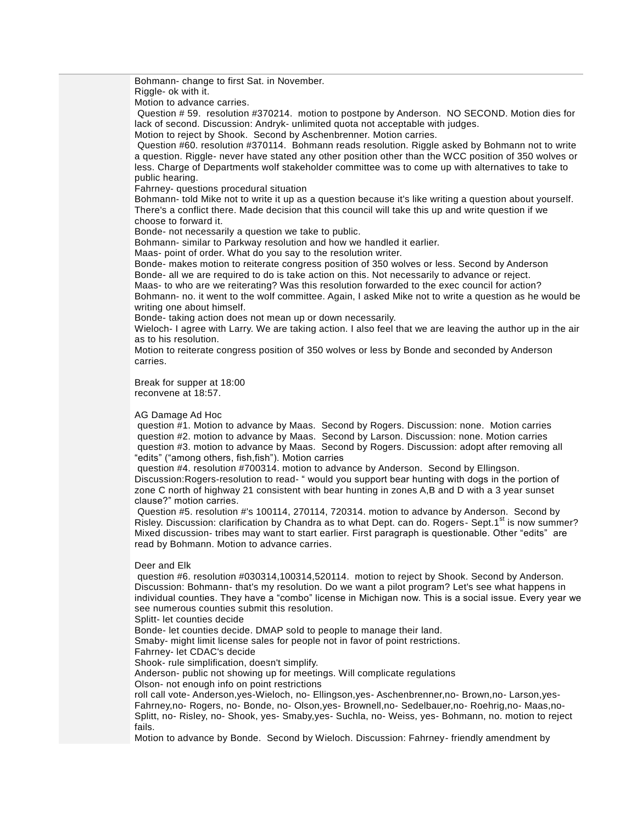Bohmann- change to first Sat. in November. Riggle- ok with it. Motion to advance carries. Question # 59. resolution #370214. motion to postpone by Anderson. NO SECOND. Motion dies for lack of second. Discussion: Andryk- unlimited quota not acceptable with judges. Motion to reject by Shook. Second by Aschenbrenner. Motion carries. Question #60. resolution #370114. Bohmann reads resolution. Riggle asked by Bohmann not to write a question. Riggle- never have stated any other position other than the WCC position of 350 wolves or less. Charge of Departments wolf stakeholder committee was to come up with alternatives to take to public hearing. Fahrney- questions procedural situation Bohmann- told Mike not to write it up as a question because it's like writing a question about yourself. There's a conflict there. Made decision that this council will take this up and write question if we choose to forward it. Bonde- not necessarily a question we take to public. Bohmann- similar to Parkway resolution and how we handled it earlier. Maas- point of order. What do you say to the resolution writer. Bonde- makes motion to reiterate congress position of 350 wolves or less. Second by Anderson Bonde- all we are required to do is take action on this. Not necessarily to advance or reject. Maas- to who are we reiterating? Was this resolution forwarded to the exec council for action? Bohmann- no. it went to the wolf committee. Again, I asked Mike not to write a question as he would be writing one about himself. Bonde- taking action does not mean up or down necessarily. Wieloch- I agree with Larry. We are taking action. I also feel that we are leaving the author up in the air as to his resolution. Motion to reiterate congress position of 350 wolves or less by Bonde and seconded by Anderson carries. Break for supper at 18:00 reconvene at 18:57. AG Damage Ad Hoc

question #1. Motion to advance by Maas. Second by Rogers. Discussion: none. Motion carries question #2. motion to advance by Maas. Second by Larson. Discussion: none. Motion carries question #3. motion to advance by Maas. Second by Rogers. Discussion: adopt after removing all "edits" ("among others, fish,fish"). Motion carries

question #4. resolution #700314. motion to advance by Anderson. Second by Ellingson. Discussion:Rogers-resolution to read- " would you support bear hunting with dogs in the portion of zone C north of highway 21 consistent with bear hunting in zones A,B and D with a 3 year sunset clause?" motion carries.

Question #5. resolution #'s 100114, 270114, 720314. motion to advance by Anderson. Second by Risley. Discussion: clarification by Chandra as to what Dept. can do. Rogers- Sept.1<sup>st</sup> is now summer? Mixed discussion- tribes may want to start earlier. First paragraph is questionable. Other "edits" are read by Bohmann. Motion to advance carries.

#### Deer and Elk

question #6. resolution #030314,100314,520114. motion to reject by Shook. Second by Anderson. Discussion: Bohmann- that's my resolution. Do we want a pilot program? Let's see what happens in individual counties. They have a "combo" license in Michigan now. This is a social issue. Every year we see numerous counties submit this resolution.

Splitt- let counties decide

Bonde- let counties decide. DMAP sold to people to manage their land.

Smaby- might limit license sales for people not in favor of point restrictions.

Fahrney- let CDAC's decide

Shook- rule simplification, doesn't simplify.

Anderson- public not showing up for meetings. Will complicate regulations

Olson- not enough info on point restrictions

roll call vote- Anderson,yes-Wieloch, no- Ellingson,yes- Aschenbrenner,no- Brown,no- Larson,yes-Fahrney,no- Rogers, no- Bonde, no- Olson,yes- Brownell,no- Sedelbauer,no- Roehrig,no- Maas,no-Splitt, no- Risley, no- Shook, yes- Smaby,yes- Suchla, no- Weiss, yes- Bohmann, no. motion to reject fails.

Motion to advance by Bonde. Second by Wieloch. Discussion: Fahrney- friendly amendment by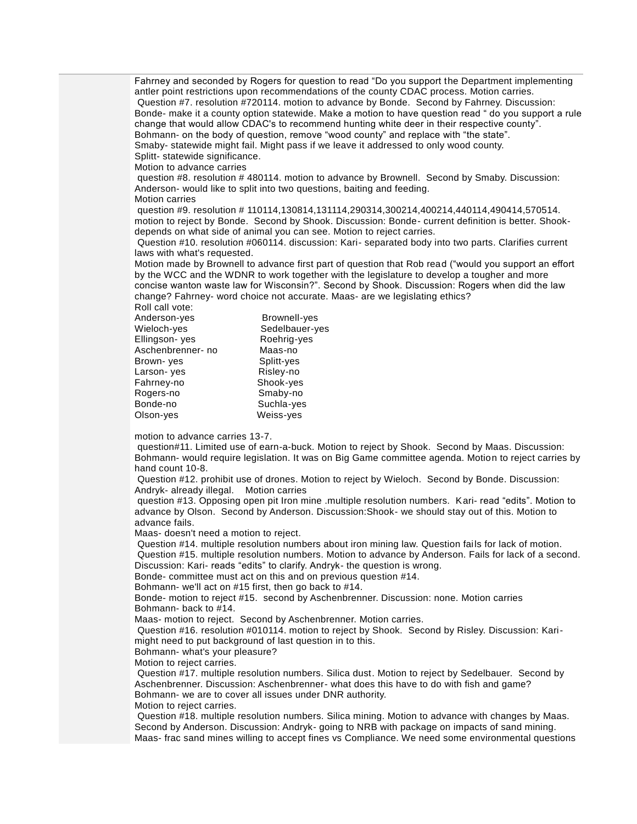Fahrney and seconded by Rogers for question to read "Do you support the Department implementing antler point restrictions upon recommendations of the county CDAC process. Motion carries. Question #7. resolution #720114. motion to advance by Bonde. Second by Fahrney. Discussion: Bonde- make it a county option statewide. Make a motion to have question read " do you support a rule change that would allow CDAC's to recommend hunting white deer in their respective county". Bohmann- on the body of question, remove "wood county" and replace with "the state". Smaby- statewide might fail. Might pass if we leave it addressed to only wood county.

Splitt- statewide significance. Motion to advance carries

question #8. resolution # 480114. motion to advance by Brownell. Second by Smaby. Discussion: Anderson- would like to split into two questions, baiting and feeding.

Motion carries

question #9. resolution # 110114,130814,131114,290314,300214,400214,440114,490414,570514. motion to reject by Bonde. Second by Shook. Discussion: Bonde- current definition is better. Shookdepends on what side of animal you can see. Motion to reject carries.

Question #10. resolution #060114. discussion: Kari- separated body into two parts. Clarifies current laws with what's requested.

Motion made by Brownell to advance first part of question that Rob read ("would you support an effort by the WCC and the WDNR to work together with the legislature to develop a tougher and more concise wanton waste law for Wisconsin?". Second by Shook. Discussion: Rogers when did the law change? Fahrney- word choice not accurate. Maas- are we legislating ethics? Roll call vote:

| Anderson-yes     | Brownell-yes   |
|------------------|----------------|
| Wieloch-yes      | Sedelbauer-yes |
| Ellingson- yes   | Roehrig-yes    |
| Aschenbrenner-no | Maas-no        |
| Brown-yes        | Splitt-yes     |
| Larson-yes       | Risley-no      |
| Fahrney-no       | Shook-yes      |
| Rogers-no        | Smaby-no       |
| Bonde-no         | Suchla-yes     |
| Olson-yes        | Weiss-yes      |
|                  |                |

motion to advance carries 13-7.

question#11. Limited use of earn-a-buck. Motion to reject by Shook. Second by Maas. Discussion: Bohmann- would require legislation. It was on Big Game committee agenda. Motion to reject carries by hand count 10-8.

Question #12. prohibit use of drones. Motion to reject by Wieloch. Second by Bonde. Discussion: Andryk- already illegal. Motion carries

question #13. Opposing open pit Iron mine .multiple resolution numbers. Kari- read "edits". Motion to advance by Olson. Second by Anderson. Discussion:Shook- we should stay out of this. Motion to advance fails.

Maas- doesn't need a motion to reject.

Question #14. multiple resolution numbers about iron mining law. Question fails for lack of motion. Question #15. multiple resolution numbers. Motion to advance by Anderson. Fails for lack of a second.

Discussion: Kari- reads "edits" to clarify. Andryk- the question is wrong.

Bonde- committee must act on this and on previous question #14.

Bohmann- we'll act on #15 first, then go back to #14.

Bonde- motion to reject #15. second by Aschenbrenner. Discussion: none. Motion carries Bohmann- back to #14.

Maas- motion to reject. Second by Aschenbrenner. Motion carries.

Question #16. resolution #010114. motion to reject by Shook. Second by Risley. Discussion: Karimight need to put background of last question in to this.

Bohmann- what's your pleasure?

Motion to reject carries.

Question #17. multiple resolution numbers. Silica dust. Motion to reject by Sedelbauer. Second by Aschenbrenner. Discussion: Aschenbrenner- what does this have to do with fish and game? Bohmann- we are to cover all issues under DNR authority. Motion to reject carries.

Question #18. multiple resolution numbers. Silica mining. Motion to advance with changes by Maas. Second by Anderson. Discussion: Andryk- going to NRB with package on impacts of sand mining. Maas- frac sand mines willing to accept fines vs Compliance. We need some environmental questions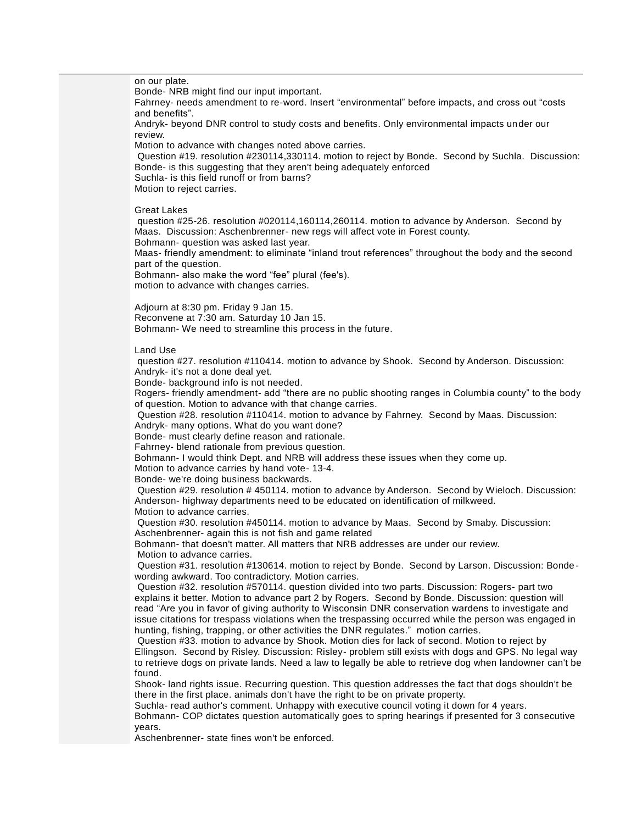on our plate. Bonde- NRB might find our input important. Fahrney- needs amendment to re-word. Insert "environmental" before impacts, and cross out "costs and benefits". Andryk- beyond DNR control to study costs and benefits. Only environmental impacts under our review. Motion to advance with changes noted above carries. Question #19. resolution #230114,330114. motion to reject by Bonde. Second by Suchla. Discussion: Bonde- is this suggesting that they aren't being adequately enforced Suchla- is this field runoff or from barns? Motion to reject carries. Great Lakes question #25-26. resolution #020114,160114,260114. motion to advance by Anderson. Second by Maas. Discussion: Aschenbrenner- new regs will affect vote in Forest county. Bohmann- question was asked last year. Maas- friendly amendment: to eliminate "inland trout references" throughout the body and the second part of the question. Bohmann- also make the word "fee" plural (fee's). motion to advance with changes carries. Adjourn at 8:30 pm. Friday 9 Jan 15. Reconvene at 7:30 am. Saturday 10 Jan 15. Bohmann- We need to streamline this process in the future. Land Use question #27. resolution #110414. motion to advance by Shook. Second by Anderson. Discussion: Andryk- it's not a done deal yet. Bonde- background info is not needed. Rogers- friendly amendment- add "there are no public shooting ranges in Columbia county" to the body of question. Motion to advance with that change carries. Question #28. resolution #110414. motion to advance by Fahrney. Second by Maas. Discussion: Andryk- many options. What do you want done? Bonde- must clearly define reason and rationale. Fahrney- blend rationale from previous question. Bohmann- I would think Dept. and NRB will address these issues when they come up. Motion to advance carries by hand vote- 13-4. Bonde- we're doing business backwards. Question #29. resolution # 450114. motion to advance by Anderson. Second by Wieloch. Discussion: Anderson- highway departments need to be educated on identification of milkweed. Motion to advance carries. Question #30. resolution #450114. motion to advance by Maas. Second by Smaby. Discussion: Aschenbrenner- again this is not fish and game related Bohmann- that doesn't matter. All matters that NRB addresses are under our review. Motion to advance carries. Question #31. resolution #130614. motion to reject by Bonde. Second by Larson. Discussion: Bonde wording awkward. Too contradictory. Motion carries. Question #32. resolution #570114. question divided into two parts. Discussion: Rogers- part two explains it better. Motion to advance part 2 by Rogers. Second by Bonde. Discussion: question will read "Are you in favor of giving authority to Wisconsin DNR conservation wardens to investigate and issue citations for trespass violations when the trespassing occurred while the person was engaged in hunting, fishing, trapping, or other activities the DNR regulates." motion carries. Question #33. motion to advance by Shook. Motion dies for lack of second. Motion to reject by Ellingson. Second by Risley. Discussion: Risley- problem still exists with dogs and GPS. No legal way to retrieve dogs on private lands. Need a law to legally be able to retrieve dog when landowner can't be found. Shook- land rights issue. Recurring question. This question addresses the fact that dogs shouldn't be there in the first place. animals don't have the right to be on private property. Suchla- read author's comment. Unhappy with executive council voting it down for 4 years. Bohmann- COP dictates question automatically goes to spring hearings if presented for 3 consecutive years.

Aschenbrenner- state fines won't be enforced.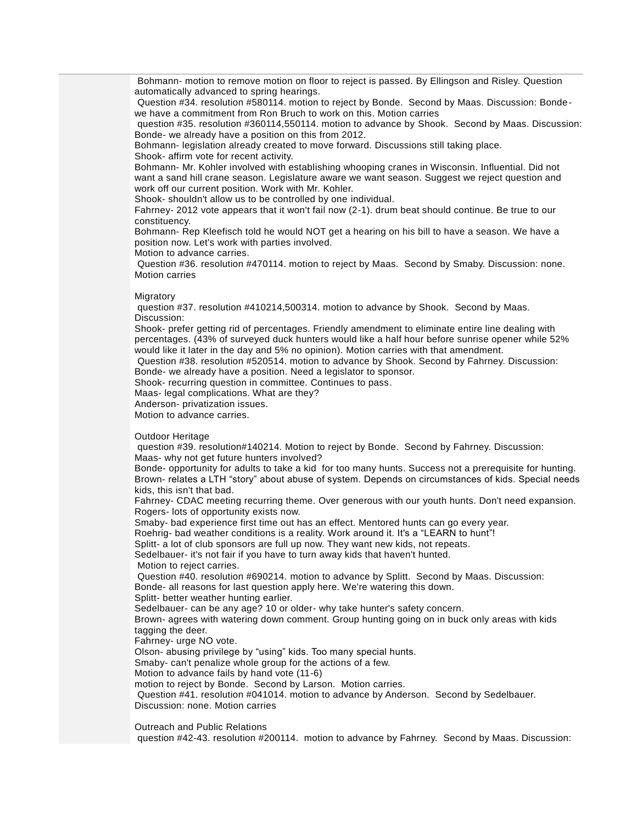Bohmann- motion to remove motion on floor to reject is passed. By Ellingson and Risley. Question automatically advanced to spring hearings.

Question #34. resolution #580114. motion to reject by Bonde. Second by Maas. Discussion: Bondewe have a commitment from Ron Bruch to work on this. Motion carries

question #35. resolution #360114,550114. motion to advance by Shook. Second by Maas. Discussion: Bonde- we already have a position on this from 2012.

Bohmann- legislation already created to move forward. Discussions still taking place. Shook- affirm vote for recent activity.

Bohmann- Mr. Kohler involved with establishing whooping cranes in Wisconsin. Influential. Did not want a sand hill crane season. Legislature aware we want season. Suggest we reject question and work off our current position. Work with Mr. Kohler.

Shook- shouldn't allow us to be controlled by one individual.

Fahrney- 2012 vote appears that it won't fail now (2-1). drum beat should continue. Be true to our constituency.

Bohmann- Rep Kleefisch told he would NOT get a hearing on his bill to have a season. We have a position now. Let's work with parties involved.

Motion to advance carries.

Question #36. resolution #470114. motion to reject by Maas. Second by Smaby. Discussion: none. Motion carries

#### Migratory

question #37. resolution #410214,500314. motion to advance by Shook. Second by Maas. Discussion:

Shook- prefer getting rid of percentages. Friendly amendment to eliminate entire line dealing with percentages. (43% of surveyed duck hunters would like a half hour before sunrise opener while 52% would like it later in the day and 5% no opinion). Motion carries with that amendment.

Question #38. resolution #520514. motion to advance by Shook. Second by Fahrney. Discussion: Bonde- we already have a position. Need a legislator to sponsor.

Shook- recurring question in committee. Continues to pass.

Maas- legal complications. What are they?

Anderson- privatization issues.

Motion to advance carries.

Outdoor Heritage

question #39. resolution#140214. Motion to reject by Bonde. Second by Fahrney. Discussion: Maas- why not get future hunters involved?

Bonde- opportunity for adults to take a kid for too many hunts. Success not a prerequisite for hunting. Brown- relates a LTH "story" about abuse of system. Depends on circumstances of kids. Special needs kids, this isn't that bad.

Fahrney- CDAC meeting recurring theme. Over generous with our youth hunts. Don't need expansion. Rogers- lots of opportunity exists now.

Smaby- bad experience first time out has an effect. Mentored hunts can go every year.

Roehrig- bad weather conditions is a reality. Work around it. It's a "LEARN to hunt"!

Splitt- a lot of club sponsors are full up now. They want new kids, not repeats.

Sedelbauer- it's not fair if you have to turn away kids that haven't hunted.

Motion to reject carries.

Question #40. resolution #690214. motion to advance by Splitt. Second by Maas. Discussion: Bonde- all reasons for last question apply here. We're watering this down.

Splitt- better weather hunting earlier.

Sedelbauer- can be any age? 10 or older- why take hunter's safety concern.

Brown- agrees with watering down comment. Group hunting going on in buck only areas with kids tagging the deer.

Fahrney- urge NO vote.

Olson- abusing privilege by "using" kids. Too many special hunts.

Smaby- can't penalize whole group for the actions of a few.

Motion to advance fails by hand vote (11-6)

motion to reject by Bonde. Second by Larson. Motion carries.

Question #41. resolution #041014. motion to advance by Anderson. Second by Sedelbauer. Discussion: none. Motion carries

Outreach and Public Relations

question #42-43. resolution #200114. motion to advance by Fahrney. Second by Maas. Discussion: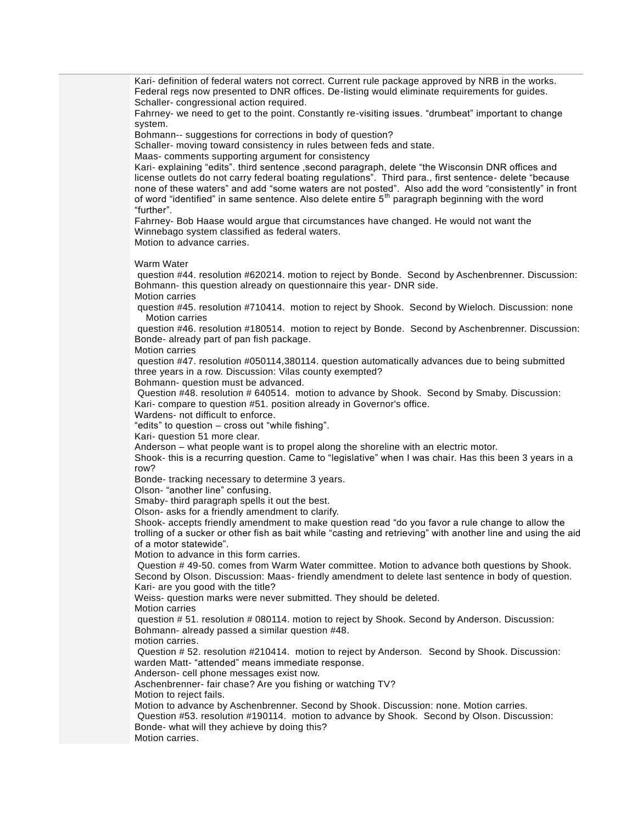Kari- definition of federal waters not correct. Current rule package approved by NRB in the works. Federal regs now presented to DNR offices. De-listing would eliminate requirements for guides. Schaller- congressional action required. Fahrney- we need to get to the point. Constantly re-visiting issues. "drumbeat" important to change system. Bohmann-- suggestions for corrections in body of question? Schaller- moving toward consistency in rules between feds and state. Maas- comments supporting argument for consistency Kari- explaining "edits". third sentence ,second paragraph, delete "the Wisconsin DNR offices and license outlets do not carry federal boating regulations". Third para., first sentence- delete "because none of these waters" and add "some waters are not posted". Also add the word "consistently" in front of word "identified" in same sentence. Also delete entire 5<sup>th</sup> paragraph beginning with the word "further". Fahrney- Bob Haase would argue that circumstances have changed. He would not want the Winnebago system classified as federal waters. Motion to advance carries. Warm Water question #44. resolution #620214. motion to reject by Bonde. Second by Aschenbrenner. Discussion: Bohmann- this question already on questionnaire this year- DNR side. Motion carries question #45. resolution #710414. motion to reject by Shook. Second by Wieloch. Discussion: none Motion carries question #46. resolution #180514. motion to reject by Bonde. Second by Aschenbrenner. Discussion: Bonde- already part of pan fish package. Motion carries question #47. resolution #050114,380114. question automatically advances due to being submitted three years in a row. Discussion: Vilas county exempted? Bohmann- question must be advanced. Question #48. resolution # 640514. motion to advance by Shook. Second by Smaby. Discussion: Kari- compare to question #51. position already in Governor's office. Wardens- not difficult to enforce. "edits" to question – cross out "while fishing". Kari- question 51 more clear. Anderson – what people want is to propel along the shoreline with an electric motor. Shook- this is a recurring question. Came to "legislative" when I was chair. Has this been 3 years in a row? Bonde- tracking necessary to determine 3 years. Olson- "another line" confusing. Smaby- third paragraph spells it out the best. Olson- asks for a friendly amendment to clarify. Shook- accepts friendly amendment to make question read "do you favor a rule change to allow the trolling of a sucker or other fish as bait while "casting and retrieving" with another line and using the aid of a motor statewide". Motion to advance in this form carries. Question # 49-50. comes from Warm Water committee. Motion to advance both questions by Shook. Second by Olson. Discussion: Maas- friendly amendment to delete last sentence in body of question. Kari- are you good with the title? Weiss- question marks were never submitted. They should be deleted. Motion carries question # 51. resolution # 080114. motion to reject by Shook. Second by Anderson. Discussion: Bohmann- already passed a similar question #48. motion carries. Question # 52. resolution #210414. motion to reject by Anderson. Second by Shook. Discussion: warden Matt- "attended" means immediate response. Anderson- cell phone messages exist now. Aschenbrenner- fair chase? Are you fishing or watching TV? Motion to reject fails. Motion to advance by Aschenbrenner. Second by Shook. Discussion: none. Motion carries. Question #53. resolution #190114. motion to advance by Shook. Second by Olson. Discussion: Bonde- what will they achieve by doing this? Motion carries.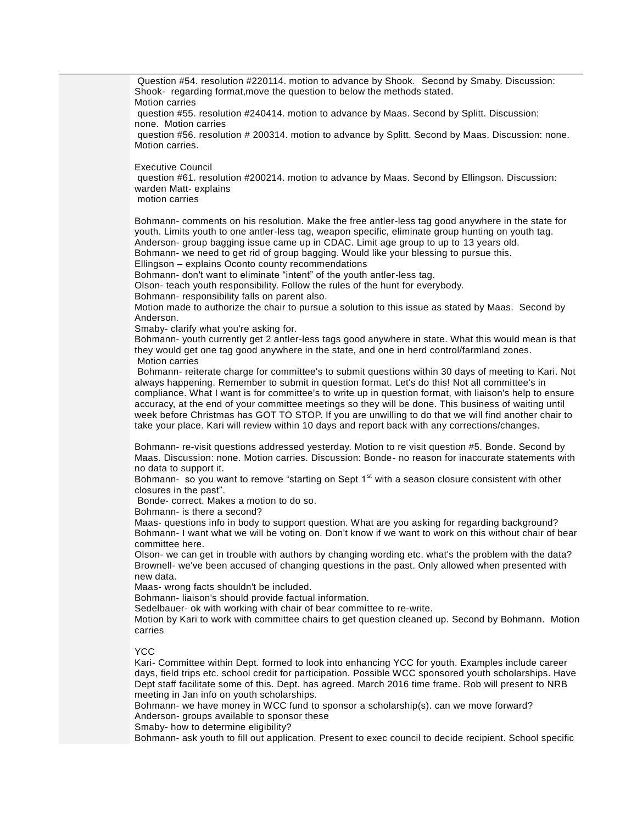Question #54. resolution #220114. motion to advance by Shook. Second by Smaby. Discussion: Shook- regarding format,move the question to below the methods stated. Motion carries

question #55. resolution #240414. motion to advance by Maas. Second by Splitt. Discussion: none. Motion carries

question #56. resolution # 200314. motion to advance by Splitt. Second by Maas. Discussion: none. Motion carries.

Executive Council

question #61. resolution #200214. motion to advance by Maas. Second by Ellingson. Discussion: warden Matt- explains

motion carries

Bohmann- comments on his resolution. Make the free antler-less tag good anywhere in the state for youth. Limits youth to one antler-less tag, weapon specific, eliminate group hunting on youth tag. Anderson- group bagging issue came up in CDAC. Limit age group to up to 13 years old. Bohmann- we need to get rid of group bagging. Would like your blessing to pursue this.

Ellingson – explains Oconto county recommendations

Bohmann- don't want to eliminate "intent" of the youth antler-less tag.

Olson- teach youth responsibility. Follow the rules of the hunt for everybody.

Bohmann- responsibility falls on parent also.

Motion made to authorize the chair to pursue a solution to this issue as stated by Maas. Second by Anderson.

Smaby- clarify what you're asking for.

Bohmann- youth currently get 2 antler-less tags good anywhere in state. What this would mean is that they would get one tag good anywhere in the state, and one in herd control/farmland zones. Motion carries

Bohmann- reiterate charge for committee's to submit questions within 30 days of meeting to Kari. Not always happening. Remember to submit in question format. Let's do this! Not all committee's in compliance. What I want is for committee's to write up in question format, with liaison's help to ensure accuracy, at the end of your committee meetings so they will be done. This business of waiting until week before Christmas has GOT TO STOP. If you are unwilling to do that we will find another chair to take your place. Kari will review within 10 days and report back with any corrections/changes.

Bohmann- re-visit questions addressed yesterday. Motion to re visit question #5. Bonde. Second by Maas. Discussion: none. Motion carries. Discussion: Bonde- no reason for inaccurate statements with no data to support it.

Bohmann- so you want to remove "starting on Sept  $1<sup>st</sup>$  with a season closure consistent with other closures in the past".

Bonde- correct. Makes a motion to do so.

Bohmann- is there a second?

Maas- questions info in body to support question. What are you asking for regarding background? Bohmann- I want what we will be voting on. Don't know if we want to work on this without chair of bear committee here.

Olson- we can get in trouble with authors by changing wording etc. what's the problem with the data? Brownell- we've been accused of changing questions in the past. Only allowed when presented with new data.

Maas- wrong facts shouldn't be included.

Bohmann- liaison's should provide factual information.

Sedelbauer- ok with working with chair of bear committee to re-write.

Motion by Kari to work with committee chairs to get question cleaned up. Second by Bohmann. Motion carries

#### YCC

Kari- Committee within Dept. formed to look into enhancing YCC for youth. Examples include career days, field trips etc. school credit for participation. Possible WCC sponsored youth scholarships. Have Dept staff facilitate some of this. Dept. has agreed. March 2016 time frame. Rob will present to NRB meeting in Jan info on youth scholarships.

Bohmann- we have money in WCC fund to sponsor a scholarship(s). can we move forward? Anderson- groups available to sponsor these

Smaby- how to determine eligibility?

Bohmann- ask youth to fill out application. Present to exec council to decide recipient. School specific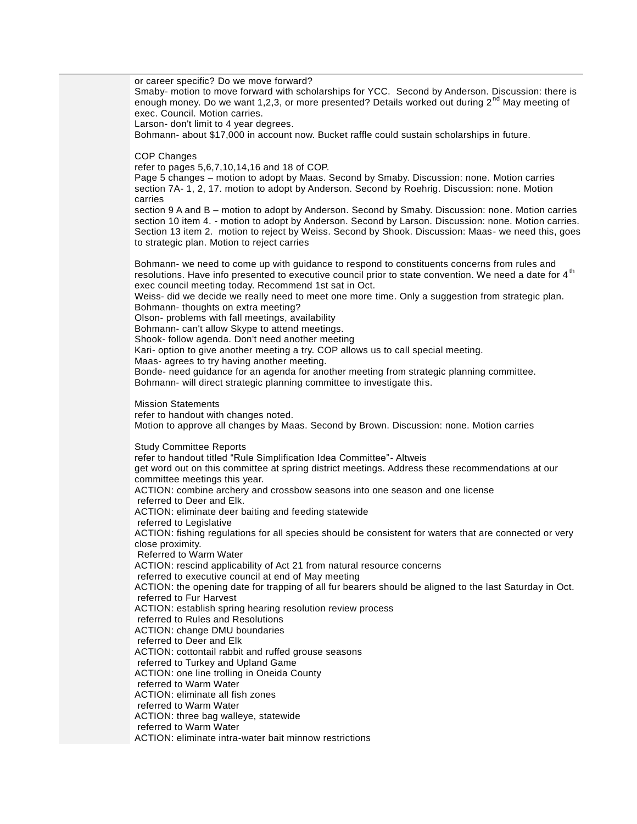or career specific? Do we move forward?

Smaby- motion to move forward with scholarships for YCC. Second by Anderson. Discussion: there is enough money. Do we want 1,2,3, or more presented? Details worked out during  $2^{nd}$  May meeting of exec. Council. Motion carries.

Larson- don't limit to 4 year degrees.

Bohmann- about \$17,000 in account now. Bucket raffle could sustain scholarships in future.

COP Changes

refer to pages 5,6,7,10,14,16 and 18 of COP.

Page 5 changes – motion to adopt by Maas. Second by Smaby. Discussion: none. Motion carries section 7A- 1, 2, 17. motion to adopt by Anderson. Second by Roehrig. Discussion: none. Motion carries

section 9 A and B – motion to adopt by Anderson. Second by Smaby. Discussion: none. Motion carries section 10 item 4. - motion to adopt by Anderson. Second by Larson. Discussion: none. Motion carries. Section 13 item 2. motion to reject by Weiss. Second by Shook. Discussion: Maas- we need this, goes to strategic plan. Motion to reject carries

Bohmann- we need to come up with guidance to respond to constituents concerns from rules and resolutions. Have info presented to executive council prior to state convention. We need a date for 4<sup>th</sup> exec council meeting today. Recommend 1st sat in Oct.

Weiss- did we decide we really need to meet one more time. Only a suggestion from strategic plan. Bohmann- thoughts on extra meeting?

Olson- problems with fall meetings, availability

Bohmann- can't allow Skype to attend meetings.

Shook- follow agenda. Don't need another meeting

Kari- option to give another meeting a try. COP allows us to call special meeting.

Maas- agrees to try having another meeting.

Bonde- need guidance for an agenda for another meeting from strategic planning committee. Bohmann- will direct strategic planning committee to investigate this.

Mission Statements

refer to handout with changes noted.

Motion to approve all changes by Maas. Second by Brown. Discussion: none. Motion carries

Study Committee Reports refer to handout titled "Rule Simplification Idea Committee"- Altweis get word out on this committee at spring district meetings. Address these recommendations at our committee meetings this year. ACTION: combine archery and crossbow seasons into one season and one license referred to Deer and Elk. ACTION: eliminate deer baiting and feeding statewide referred to Legislative ACTION: fishing regulations for all species should be consistent for waters that are connected or very close proximity. Referred to Warm Water ACTION: rescind applicability of Act 21 from natural resource concerns referred to executive council at end of May meeting ACTION: the opening date for trapping of all fur bearers should be aligned to the last Saturday in Oct. referred to Fur Harvest ACTION: establish spring hearing resolution review process referred to Rules and Resolutions ACTION: change DMU boundaries referred to Deer and Elk ACTION: cottontail rabbit and ruffed grouse seasons referred to Turkey and Upland Game ACTION: one line trolling in Oneida County referred to Warm Water ACTION: eliminate all fish zones referred to Warm Water ACTION: three bag walleye, statewide referred to Warm Water ACTION: eliminate intra-water bait minnow restrictions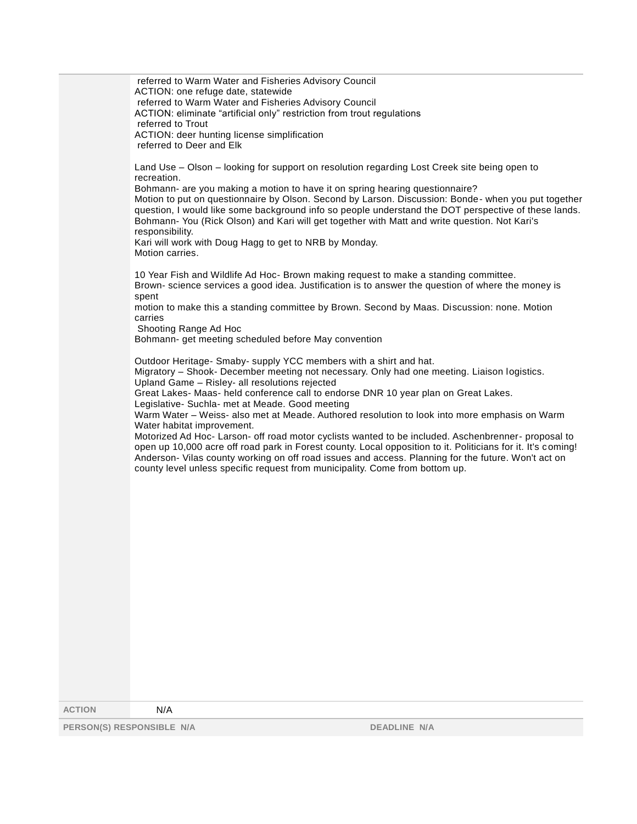referred to Warm Water and Fisheries Advisory Council ACTION: one refuge date, statewide referred to Warm Water and Fisheries Advisory Council ACTION: eliminate "artificial only" restriction from trout regulations referred to Trout ACTION: deer hunting license simplification referred to Deer and Elk

Land Use – Olson – looking for support on resolution regarding Lost Creek site being open to recreation.

Bohmann- are you making a motion to have it on spring hearing questionnaire? Motion to put on questionnaire by Olson. Second by Larson. Discussion: Bonde- when you put together question, I would like some background info so people understand the DOT perspective of these lands. Bohmann- You (Rick Olson) and Kari will get together with Matt and write question. Not Kari's responsibility.

Kari will work with Doug Hagg to get to NRB by Monday. Motion carries.

10 Year Fish and Wildlife Ad Hoc- Brown making request to make a standing committee. Brown- science services a good idea. Justification is to answer the question of where the money is spent

motion to make this a standing committee by Brown. Second by Maas. Discussion: none. Motion carries

Shooting Range Ad Hoc

Bohmann- get meeting scheduled before May convention

Outdoor Heritage- Smaby- supply YCC members with a shirt and hat. Migratory - Shook- December meeting not necessary. Only had one meeting. Liaison logistics.

Upland Game – Risley- all resolutions rejected

Great Lakes- Maas- held conference call to endorse DNR 10 year plan on Great Lakes.

Legislative- Suchla- met at Meade. Good meeting

Warm Water – Weiss- also met at Meade. Authored resolution to look into more emphasis on Warm Water habitat improvement.

Motorized Ad Hoc- Larson- off road motor cyclists wanted to be included. Aschenbrenner- proposal to open up 10,000 acre off road park in Forest county. Local opposition to it. Politicians for it. It's coming! Anderson- Vilas county working on off road issues and access. Planning for the future. Won't act on county level unless specific request from municipality. Come from bottom up.

**ACTION** N/A

**PERSON(S) RESPONSIBLE N/A DEADLINE N/A**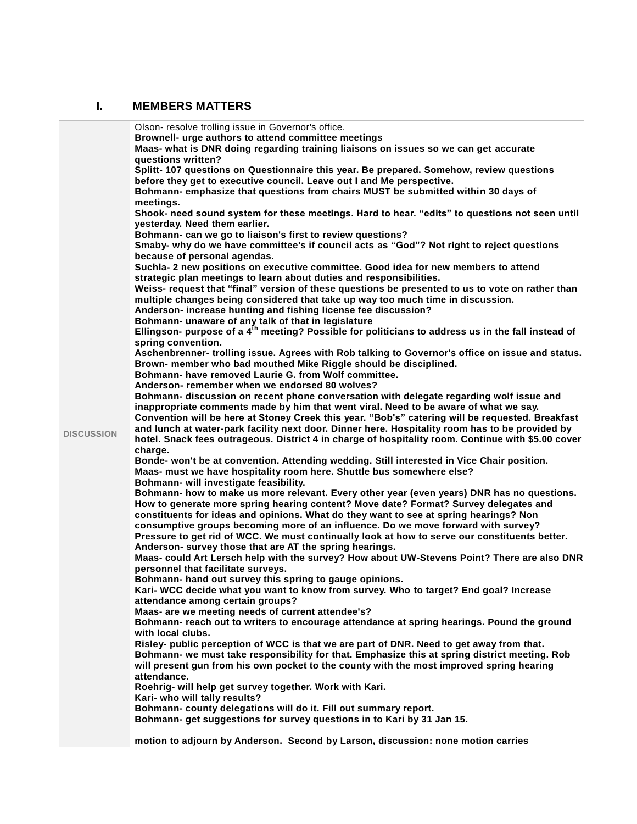## **I. MEMBERS MATTERS**

|                   | Olson-resolve trolling issue in Governor's office.                                                                                                                    |
|-------------------|-----------------------------------------------------------------------------------------------------------------------------------------------------------------------|
|                   | Brownell- urge authors to attend committee meetings                                                                                                                   |
|                   | Maas- what is DNR doing regarding training liaisons on issues so we can get accurate                                                                                  |
|                   | questions written?                                                                                                                                                    |
|                   | Splitt-107 questions on Questionnaire this year. Be prepared. Somehow, review questions                                                                               |
|                   |                                                                                                                                                                       |
|                   | before they get to executive council. Leave out I and Me perspective.                                                                                                 |
|                   | Bohmann- emphasize that questions from chairs MUST be submitted within 30 days of                                                                                     |
|                   | meetings.                                                                                                                                                             |
|                   | Shook- need sound system for these meetings. Hard to hear. "edits" to questions not seen until                                                                        |
|                   | yesterday. Need them earlier.                                                                                                                                         |
|                   | Bohmann- can we go to liaison's first to review questions?                                                                                                            |
|                   | Smaby- why do we have committee's if council acts as "God"? Not right to reject questions                                                                             |
|                   |                                                                                                                                                                       |
|                   | because of personal agendas.                                                                                                                                          |
|                   | Suchla- 2 new positions on executive committee. Good idea for new members to attend                                                                                   |
|                   | strategic plan meetings to learn about duties and responsibilities.                                                                                                   |
|                   | Weiss- request that "final" version of these questions be presented to us to vote on rather than                                                                      |
|                   | multiple changes being considered that take up way too much time in discussion.                                                                                       |
|                   | Anderson- increase hunting and fishing license fee discussion?                                                                                                        |
|                   |                                                                                                                                                                       |
|                   | Bohmann- unaware of any talk of that in legislature<br>Ellingson- purpose of a 4 <sup>th</sup> meeting? Possible for politicians to address us in the fall instead of |
|                   |                                                                                                                                                                       |
|                   | spring convention.                                                                                                                                                    |
|                   | Aschenbrenner- trolling issue. Agrees with Rob talking to Governor's office on issue and status.                                                                      |
|                   | Brown- member who bad mouthed Mike Riggle should be disciplined.                                                                                                      |
|                   | Bohmann- have removed Laurie G. from Wolf committee.                                                                                                                  |
|                   | Anderson-remember when we endorsed 80 wolves?                                                                                                                         |
|                   | Bohmann- discussion on recent phone conversation with delegate regarding wolf issue and                                                                               |
|                   | inappropriate comments made by him that went viral. Need to be aware of what we say.                                                                                  |
|                   |                                                                                                                                                                       |
|                   | Convention will be here at Stoney Creek this year. "Bob's" catering will be requested. Breakfast                                                                      |
| <b>DISCUSSION</b> | and lunch at water-park facility next door. Dinner here. Hospitality room has to be provided by                                                                       |
|                   | hotel. Snack fees outrageous. District 4 in charge of hospitality room. Continue with \$5.00 cover                                                                    |
|                   | charge.                                                                                                                                                               |
|                   | Bonde- won't be at convention. Attending wedding. Still interested in Vice Chair position.                                                                            |
|                   | Maas- must we have hospitality room here. Shuttle bus somewhere else?                                                                                                 |
|                   | Bohmann- will investigate feasibility.                                                                                                                                |
|                   | Bohmann- how to make us more relevant. Every other year (even years) DNR has no questions.                                                                            |
|                   |                                                                                                                                                                       |
|                   | How to generate more spring hearing content? Move date? Format? Survey delegates and                                                                                  |
|                   | constituents for ideas and opinions. What do they want to see at spring hearings? Non                                                                                 |
|                   | consumptive groups becoming more of an influence. Do we move forward with survey?                                                                                     |
|                   | Pressure to get rid of WCC. We must continually look at how to serve our constituents better.                                                                         |
|                   | Anderson- survey those that are AT the spring hearings.                                                                                                               |
|                   | Maas- could Art Lersch help with the survey? How about UW-Stevens Point? There are also DNR                                                                           |
|                   | personnel that facilitate surveys.                                                                                                                                    |
|                   | Bohmann- hand out survey this spring to gauge opinions.                                                                                                               |
|                   |                                                                                                                                                                       |
|                   | Kari- WCC decide what you want to know from survey. Who to target? End goal? Increase                                                                                 |
|                   | attendance among certain groups?                                                                                                                                      |
|                   | Maas- are we meeting needs of current attendee's?                                                                                                                     |
|                   | Bohmann- reach out to writers to encourage attendance at spring hearings. Pound the ground                                                                            |
|                   | with local clubs.                                                                                                                                                     |
|                   | Risley- public perception of WCC is that we are part of DNR. Need to get away from that.                                                                              |
|                   | Bohmann- we must take responsibility for that. Emphasize this at spring district meeting. Rob                                                                         |
|                   | will present gun from his own pocket to the county with the most improved spring hearing                                                                              |
|                   |                                                                                                                                                                       |
|                   | attendance.                                                                                                                                                           |
|                   | Roehrig- will help get survey together. Work with Kari.                                                                                                               |
|                   | Kari- who will tally results?                                                                                                                                         |
|                   | Bohmann- county delegations will do it. Fill out summary report.                                                                                                      |
|                   | Bohmann- get suggestions for survey questions in to Kari by 31 Jan 15.                                                                                                |
|                   |                                                                                                                                                                       |
|                   | motion to adjourn by Anderson. Second by Larson, discussion: none motion carries                                                                                      |
|                   |                                                                                                                                                                       |